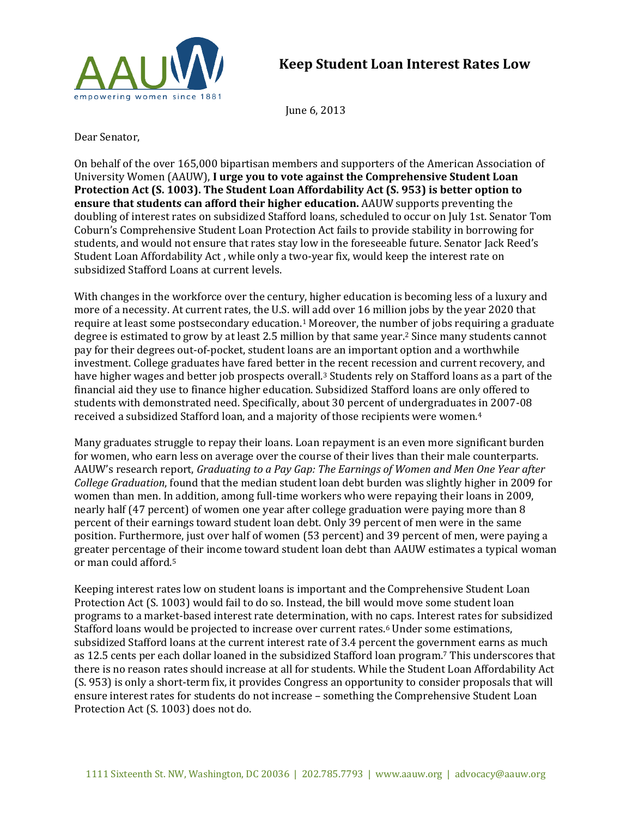

June 6, 2013

Dear Senator,

On behalf of the over 165,000 bipartisan members and supporters of the American Association of University Women (AAUW), **I urge you to vote against the Comprehensive Student Loan Protection Act (S. 1003). The Student Loan Affordability Act (S. 953) is better option to ensure that students can afford their higher education.** AAUW supports preventing the doubling of interest rates on subsidized Stafford loans, scheduled to occur on July 1st. Senator Tom Coburn's Comprehensive Student Loan Protection Act fails to provide stability in borrowing for students, and would not ensure that rates stay low in the foreseeable future. Senator Jack Reed's Student Loan Affordability Act , while only a two-year fix, would keep the interest rate on subsidized Stafford Loans at current levels.

With changes in the workforce over the century, higher education is becoming less of a luxury and more of a necessity. At current rates, the U.S. will add over 16 million jobs by the year 2020 that require at least some postsecondary education.<sup>1</sup> Moreover, the number of jobs requiring a graduate degree is estimated to grow by at least 2.5 million by that same year.<sup>2</sup> Since many students cannot pay for their degrees out-of-pocket, student loans are an important option and a worthwhile investment. College graduates have fared better in the recent recession and current recovery, and have higher wages and better job prospects overall.<sup>3</sup> Students rely on Stafford loans as a part of the financial aid they use to finance higher education. Subsidized Stafford loans are only offered to students with demonstrated need. Specifically, about 30 percent of undergraduates in 2007-08 received a subsidized Stafford loan, and a majority of those recipients were women.<sup>4</sup>

Many graduates struggle to repay their loans. Loan repayment is an even more significant burden for women, who earn less on average over the course of their lives than their male counterparts. AAUW's research report, *Graduating to a Pay Gap: The Earnings of Women and Men One Year after College Graduation*, found that the median student loan debt burden was slightly higher in 2009 for women than men. In addition, among full-time workers who were repaying their loans in 2009, nearly half (47 percent) of women one year after college graduation were paying more than 8 percent of their earnings toward student loan debt. Only 39 percent of men were in the same position. Furthermore, just over half of women (53 percent) and 39 percent of men, were paying a greater percentage of their income toward student loan debt than AAUW estimates a typical woman or man could afford.<sup>5</sup>

Keeping interest rates low on student loans is important and the Comprehensive Student Loan Protection Act (S. 1003) would fail to do so. Instead, the bill would move some student loan programs to a market-based interest rate determination, with no caps. Interest rates for subsidized Stafford loans would be projected to increase over current rates.<sup>6</sup> Under some estimations, subsidized Stafford loans at the current interest rate of 3.4 percent the government earns as much as 12.5 cents per each dollar loaned in the subsidized Stafford loan program. <sup>7</sup> This underscores that there is no reason rates should increase at all for students. While the Student Loan Affordability Act (S. 953) is only a short-term fix, it provides Congress an opportunity to consider proposals that will ensure interest rates for students do not increase – something the Comprehensive Student Loan Protection Act (S. 1003) does not do.